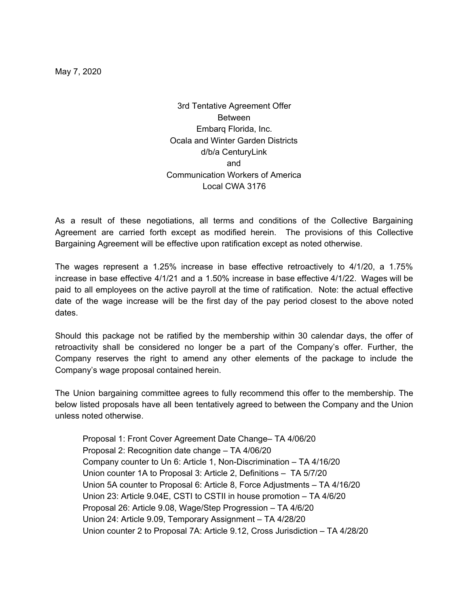May 7, 2020

3rd Tentative Agreement Offer Between Embarq Florida, Inc. Ocala and Winter Garden Districts d/b/a CenturyLink and Communication Workers of America Local CWA 3176

As a result of these negotiations, all terms and conditions of the Collective Bargaining Agreement are carried forth except as modified herein. The provisions of this Collective Bargaining Agreement will be effective upon ratification except as noted otherwise.

The wages represent a 1.25% increase in base effective retroactively to 4/1/20, a 1.75% increase in base effective 4/1/21 and a 1.50% increase in base effective 4/1/22. Wages will be paid to all employees on the active payroll at the time of ratification. Note: the actual effective date of the wage increase will be the first day of the pay period closest to the above noted dates.

Should this package not be ratified by the membership within 30 calendar days, the offer of retroactivity shall be considered no longer be a part of the Company's offer. Further, the Company reserves the right to amend any other elements of the package to include the Company's wage proposal contained herein.

The Union bargaining committee agrees to fully recommend this offer to the membership. The below listed proposals have all been tentatively agreed to between the Company and the Union unless noted otherwise.

Proposal 1: Front Cover Agreement Date Change– TA 4/06/20 Proposal 2: Recognition date change – TA 4/06/20 Company counter to Un 6: Article 1, Non-Discrimination – TA 4/16/20 Union counter 1A to Proposal 3: Article 2, Definitions – TA 5/7/20 Union 5A counter to Proposal 6: Article 8, Force Adjustments – TA 4/16/20 Union 23: Article 9.04E, CSTI to CSTII in house promotion – TA 4/6/20 Proposal 26: Article 9.08, Wage/Step Progression – TA 4/6/20 Union 24: Article 9.09, Temporary Assignment – TA 4/28/20 Union counter 2 to Proposal 7A: Article 9.12, Cross Jurisdiction – TA 4/28/20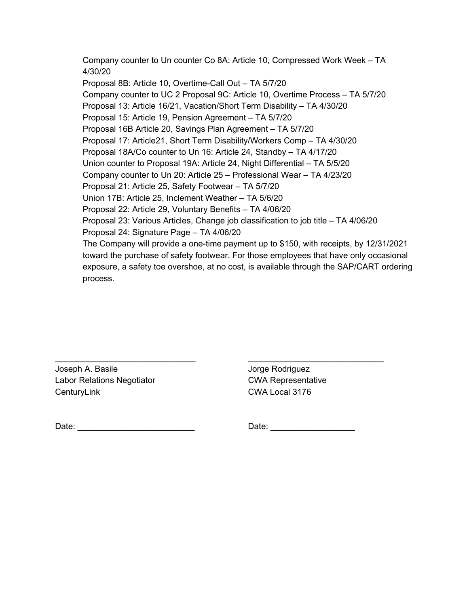Company counter to Un counter Co 8A: Article 10, Compressed Work Week – TA 4/30/20 Proposal 8B: Article 10, Overtime-Call Out – TA 5/7/20 Company counter to UC 2 Proposal 9C: Article 10, Overtime Process – TA 5/7/20 Proposal 13: Article 16/21, Vacation/Short Term Disability – TA 4/30/20 Proposal 15: Article 19, Pension Agreement – TA 5/7/20 Proposal 16B Article 20, Savings Plan Agreement – TA 5/7/20 Proposal 17: Article21, Short Term Disability/Workers Comp – TA 4/30/20 Proposal 18A/Co counter to Un 16: Article 24, Standby – TA 4/17/20 Union counter to Proposal 19A: Article 24, Night Differential – TA 5/5/20 Company counter to Un 20: Article 25 – Professional Wear – TA 4/23/20 Proposal 21: Article 25, Safety Footwear – TA 5/7/20 Union 17B: Article 25, Inclement Weather – TA 5/6/20 Proposal 22: Article 29, Voluntary Benefits – TA 4/06/20 Proposal 23: Various Articles, Change job classification to job title – TA 4/06/20 Proposal 24: Signature Page – TA 4/06/20 The Company will provide a one-time payment up to \$150, with receipts, by 12/31/2021 toward the purchase of safety footwear. For those employees that have only occasional exposure, a safety toe overshoe, at no cost, is available through the SAP/CART ordering process.

 $\frac{1}{2}$  ,  $\frac{1}{2}$  ,  $\frac{1}{2}$  ,  $\frac{1}{2}$  ,  $\frac{1}{2}$  ,  $\frac{1}{2}$  ,  $\frac{1}{2}$  ,  $\frac{1}{2}$  ,  $\frac{1}{2}$  ,  $\frac{1}{2}$  ,  $\frac{1}{2}$  ,  $\frac{1}{2}$  ,  $\frac{1}{2}$  ,  $\frac{1}{2}$  ,  $\frac{1}{2}$  ,  $\frac{1}{2}$  ,  $\frac{1}{2}$  ,  $\frac{1}{2}$  ,  $\frac{1$ 

Joseph A. Basile Jorge Rodriguez Labor Relations Negotiator **CWA Representative** CenturyLink CWA Local 3176

Date: \_\_\_\_\_\_\_\_\_\_\_\_\_\_\_\_\_\_\_\_\_\_\_\_\_ Date: \_\_\_\_\_\_\_\_\_\_\_\_\_\_\_\_\_\_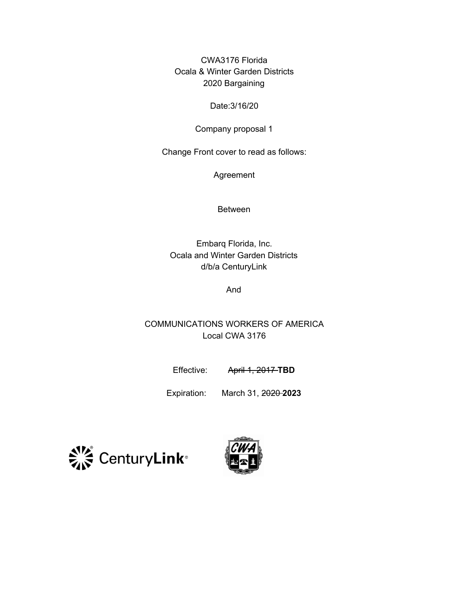CWA3176 Florida Ocala & Winter Garden Districts 2020 Bargaining

#### Date:3/16/20

#### Company proposal 1

Change Front cover to read as follows:

Agreement

Between

Embarq Florida, Inc. Ocala and Winter Garden Districts d/b/a CenturyLink

And

COMMUNICATIONS WORKERS OF AMERICA Local CWA 3176

Effective: April 1, 2017-TBD

Expiration: March 31, 2020 **2023**



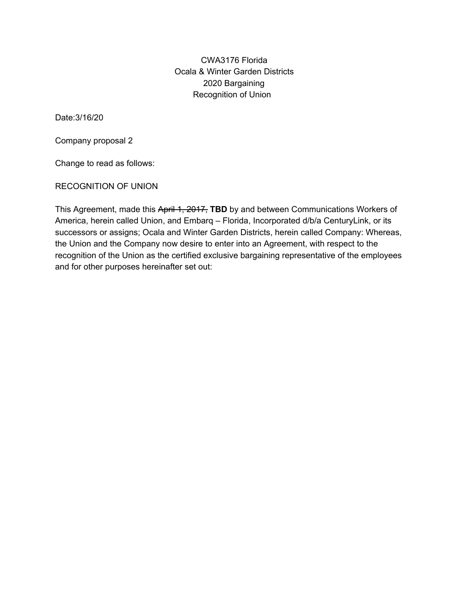CWA3176 Florida Ocala & Winter Garden Districts 2020 Bargaining Recognition of Union

Date:3/16/20

Company proposal 2

Change to read as follows:

RECOGNITION OF UNION

This Agreement, made this April 1, 2017, **TBD** by and between Communications Workers of America, herein called Union, and Embarq – Florida, Incorporated d/b/a CenturyLink, or its successors or assigns; Ocala and Winter Garden Districts, herein called Company: Whereas, the Union and the Company now desire to enter into an Agreement, with respect to the recognition of the Union as the certified exclusive bargaining representative of the employees and for other purposes hereinafter set out: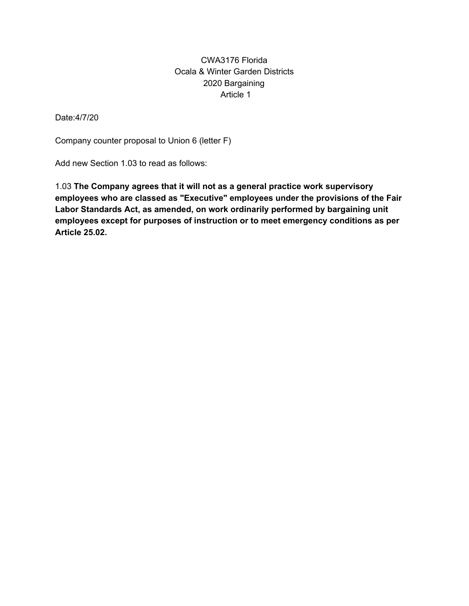## CWA3176 Florida Ocala & Winter Garden Districts 2020 Bargaining Article 1

Date:4/7/20

Company counter proposal to Union 6 (letter F)

Add new Section 1.03 to read as follows:

1.03 **The Company agrees that it will not as a general practice work supervisory employees who are classed as "Executive" employees under the provisions of the Fair Labor Standards Act, as amended, on work ordinarily performed by bargaining unit employees except for purposes of instruction or to meet emergency conditions as per Article 25.02.**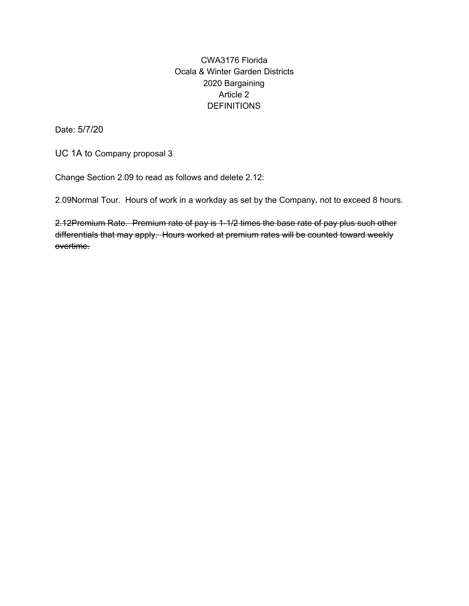# CWA3176 Florida Ocala & Winter Garden Districts 2020 Bargaining Article 2 **DEFINITIONS**

Date: 5/7/20

UC 1A to Company proposal 3

Change Section 2.09 to read as follows and delete 2.12:

2.09Normal Tour. Hours of work in a workday as set by the Company**.** not to exceed 8 hours.

2.12Premium Rate. Premium rate of pay is 1-1/2 times the base rate of pay plus such other differentials that may apply. Hours worked at premium rates will be counted toward weekly overtime.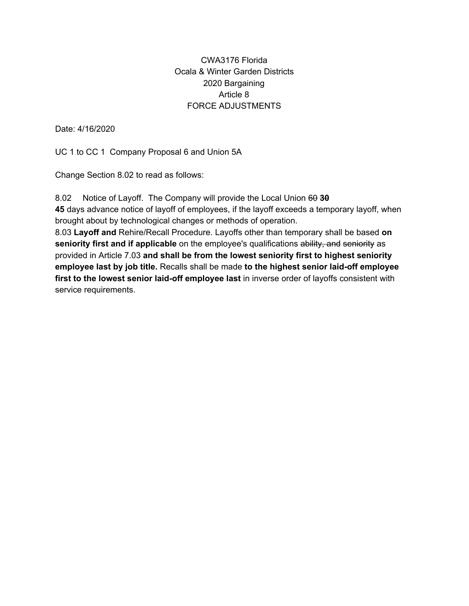### CWA3176 Florida Ocala & Winter Garden Districts 2020 Bargaining Article 8 FORCE ADJUSTMENTS

Date: 4/16/2020

UC 1 to CC 1 Company Proposal 6 and Union 5A

Change Section 8.02 to read as follows:

8.02 Notice of Layoff. The Company will provide the Local Union 60 **30 45** days advance notice of layoff of employees, if the layoff exceeds a temporary layoff, when brought about by technological changes or methods of operation. 8.03 **Layoff and** Rehire/Recall Procedure. Layoffs other than temporary shall be based **on seniority first and if applicable** on the employee's qualifications ability, and seniority as provided in Article 7.03 **and shall be from the lowest seniority first to highest seniority employee last by job title.** Recalls shall be made **to the highest senior laid-off employee first to the lowest senior laid-off employee last** in inverse order of layoffs consistent with service requirements.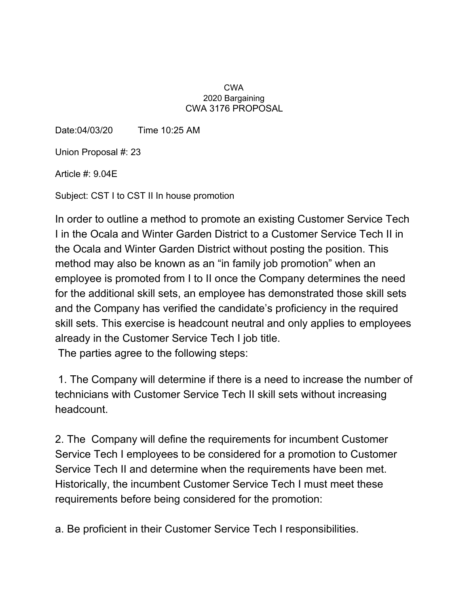#### CWA 2020 Bargaining CWA 3176 PROPOSAL

Date:04/03/20 Time 10:25 AM

Union Proposal #: 23

Article #: 9.04E

Subject: CST I to CST II In house promotion

In order to outline a method to promote an existing Customer Service Tech I in the Ocala and Winter Garden District to a Customer Service Tech II in the Ocala and Winter Garden District without posting the position. This method may also be known as an "in family job promotion" when an employee is promoted from I to II once the Company determines the need for the additional skill sets, an employee has demonstrated those skill sets and the Company has verified the candidate's proficiency in the required skill sets. This exercise is headcount neutral and only applies to employees already in the Customer Service Tech I job title. The parties agree to the following steps:

1. The Company will determine if there is a need to increase the number of technicians with Customer Service Tech II skill sets without increasing headcount.

2. The Company will define the requirements for incumbent Customer Service Tech I employees to be considered for a promotion to Customer Service Tech II and determine when the requirements have been met. Historically, the incumbent Customer Service Tech I must meet these requirements before being considered for the promotion:

a. Be proficient in their Customer Service Tech I responsibilities.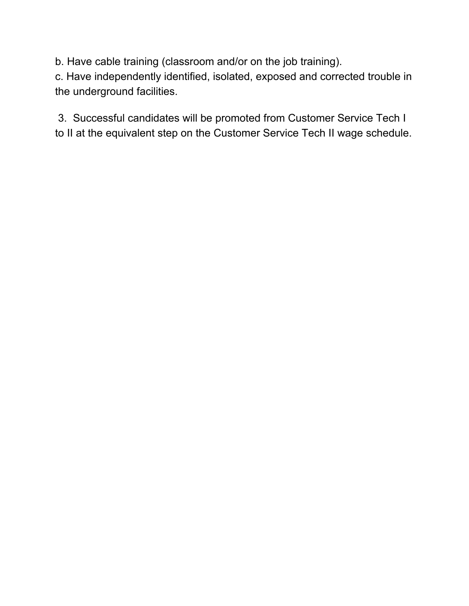b. Have cable training (classroom and/or on the job training).

c. Have independently identified, isolated, exposed and corrected trouble in the underground facilities.

3. Successful candidates will be promoted from Customer Service Tech I to II at the equivalent step on the Customer Service Tech II wage schedule.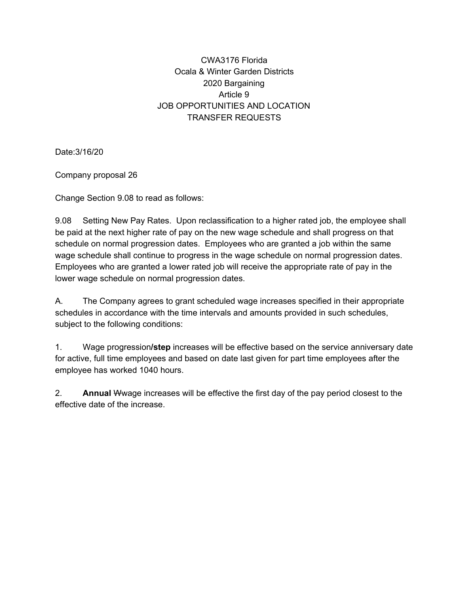# CWA3176 Florida Ocala & Winter Garden Districts 2020 Bargaining Article 9 JOB OPPORTUNITIES AND LOCATION TRANSFER REQUESTS

Date:3/16/20

Company proposal 26

Change Section 9.08 to read as follows:

9.08 Setting New Pay Rates. Upon reclassification to a higher rated job, the employee shall be paid at the next higher rate of pay on the new wage schedule and shall progress on that schedule on normal progression dates. Employees who are granted a job within the same wage schedule shall continue to progress in the wage schedule on normal progression dates. Employees who are granted a lower rated job will receive the appropriate rate of pay in the lower wage schedule on normal progression dates.

A. The Company agrees to grant scheduled wage increases specified in their appropriate schedules in accordance with the time intervals and amounts provided in such schedules, subject to the following conditions:

1. Wage progression**/step** increases will be effective based on the service anniversary date for active, full time employees and based on date last given for part time employees after the employee has worked 1040 hours.

2. **Annual** Wwage increases will be effective the first day of the pay period closest to the effective date of the increase.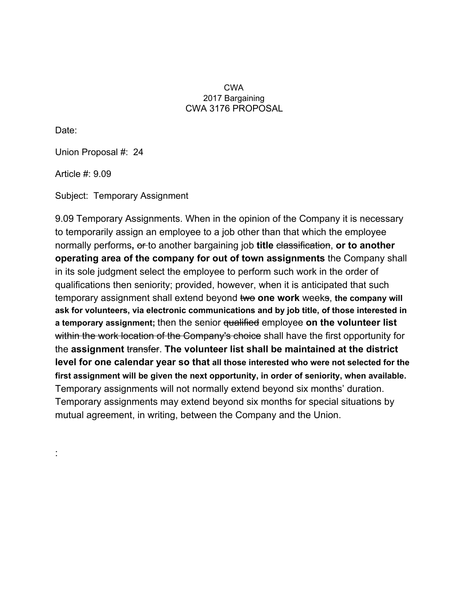#### CWA 2017 Bargaining CWA 3176 PROPOSAL

Date:

:

Union Proposal #: 24

Article #: 9.09

Subject: Temporary Assignment

9.09 Temporary Assignments. When in the opinion of the Company it is necessary to temporarily assign an employee to a job other than that which the employee normally performs**,** or to another bargaining job **title** classification, **or to another operating area of the company for out of town assignments** the Company shall in its sole judgment select the employee to perform such work in the order of qualifications then seniority; provided, however, when it is anticipated that such temporary assignment shall extend beyond two **one work** weeks, **the company will ask for volunteers, via electronic communications and by job title, of those interested in a temporary assignment;** then the senior qualified employee **on the volunteer list** within the work location of the Company's choice shall have the first opportunity for the **assignment** transfer. **The volunteer list shall be maintained at the district level for one calendar year so that all those interested who were not selected for the first assignment will be given the next opportunity, in order of seniority, when available.** Temporary assignments will not normally extend beyond six months' duration. Temporary assignments may extend beyond six months for special situations by mutual agreement, in writing, between the Company and the Union.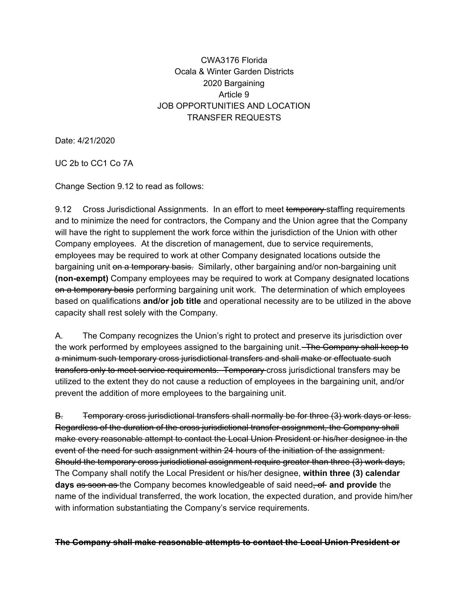# CWA3176 Florida Ocala & Winter Garden Districts 2020 Bargaining Article 9 JOB OPPORTUNITIES AND LOCATION TRANSFER REQUESTS

Date: 4/21/2020

UC 2b to CC1 Co 7A

Change Section 9.12 to read as follows:

9.12 Cross Jurisdictional Assignments. In an effort to meet temporary-staffing requirements and to minimize the need for contractors, the Company and the Union agree that the Company will have the right to supplement the work force within the jurisdiction of the Union with other Company employees. At the discretion of management, due to service requirements, employees may be required to work at other Company designated locations outside the bargaining unit on a temporary basis. Similarly, other bargaining and/or non-bargaining unit **(non-exempt)** Company employees may be required to work at Company designated locations on a temporary basis performing bargaining unit work. The determination of which employees based on qualifications **and/or job title** and operational necessity are to be utilized in the above capacity shall rest solely with the Company.

A. The Company recognizes the Union's right to protect and preserve its jurisdiction over the work performed by employees assigned to the bargaining unit. The Company shall keep to a minimum such temporary cross jurisdictional transfers and shall make or effectuate such transfers only to meet service requirements. Temporary cross jurisdictional transfers may be utilized to the extent they do not cause a reduction of employees in the bargaining unit, and/or prevent the addition of more employees to the bargaining unit.

B. Temporary cross jurisdictional transfers shall normally be for three (3) work days or less. Regardless of the duration of the cross jurisdictional transfer assignment, the Company shall make every reasonable attempt to contact the Local Union President or his/her designee in the event of the need for such assignment within 24 hours of the initiation of the assignment. Should the temporary cross jurisdictional assignment require greater than three (3) work days, The Company shall notify the Local President or his/her designee, **within three (3) calendar days** as soon as the Company becomes knowledgeable of said need, of **and provide** the name of the individual transferred, the work location, the expected duration, and provide him/her with information substantiating the Company's service requirements.

#### **The Company shall make reasonable attempts to contact the Local Union President or**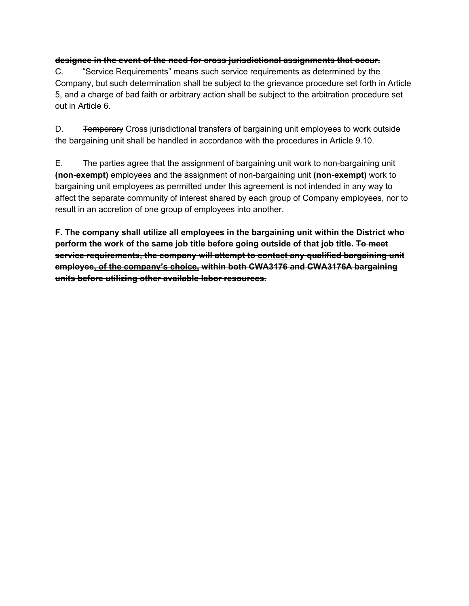#### **designee in the event of the need for cross jurisdictional assignments that occur.**

C. "Service Requirements" means such service requirements as determined by the Company, but such determination shall be subject to the grievance procedure set forth in Article 5, and a charge of bad faith or arbitrary action shall be subject to the arbitration procedure set out in Article 6.

D. **Temporary** Cross jurisdictional transfers of bargaining unit employees to work outside the bargaining unit shall be handled in accordance with the procedures in Article 9.10.

E. The parties agree that the assignment of bargaining unit work to non-bargaining unit **(non-exempt)** employees and the assignment of non-bargaining unit **(non-exempt)** work to bargaining unit employees as permitted under this agreement is not intended in any way to affect the separate community of interest shared by each group of Company employees, nor to result in an accretion of one group of employees into another.

**F. The company shall utilize all employees in the bargaining unit within the District who perform the work of the same job title before going outside of that job title. To meet service requirements, the company will attempt to contact any qualified bargaining unit employee, of the company's choice, within both CWA3176 and CWA3176A bargaining units before utilizing other available labor resources.**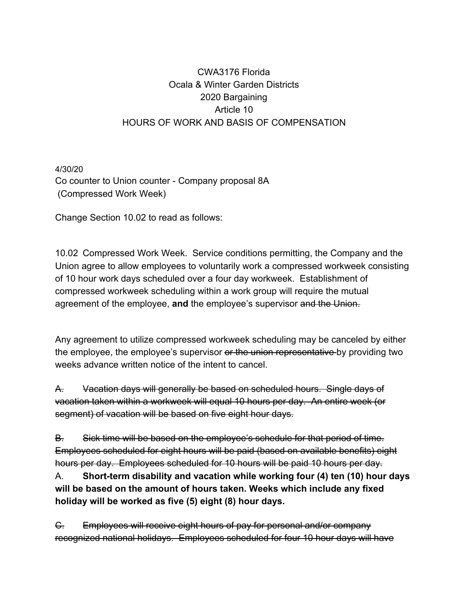# CWA3176 Florida Ocala & Winter Garden Districts 2020 Bargaining Article 10 HOURS OF WORK AND BASIS OF COMPENSATION

4/30/20 Co counter to Union counter - Company proposal 8A (Compressed Work Week)

Change Section 10.02 to read as follows:

10.02 Compressed Work Week. Service conditions permitting, the Company and the Union agree to allow employees to voluntarily work a compressed workweek consisting of 10 hour work days scheduled over a four day workweek. Establishment of compressed workweek scheduling within a work group will require the mutual agreement of the employee, **and** the employee's supervisor and the Union.

Any agreement to utilize compressed workweek scheduling may be canceled by either the employee, the employee's supervisor or the union representative by providing two weeks advance written notice of the intent to cancel.

A. Vacation days will generally be based on scheduled hours. Single days of vacation taken within a workweek will equal 10 hours per day. An entire week (or segment) of vacation will be based on five eight hour days.

B. Sick time will be based on the employee's schedule for that period of time. Employees scheduled for eight hours will be paid (based on available benefits) eight hours per day. Employees scheduled for 10 hours will be paid 10 hours per day.

A. **Short-term disability and vacation while working four (4) ten (10) hour days will be based on the amount of hours taken. Weeks which include any fixed holiday will be worked as five (5) eight (8) hour days.**

C. Employees will receive eight hours of pay for personal and/or company recognized national holidays. Employees scheduled for four 10 hour days will have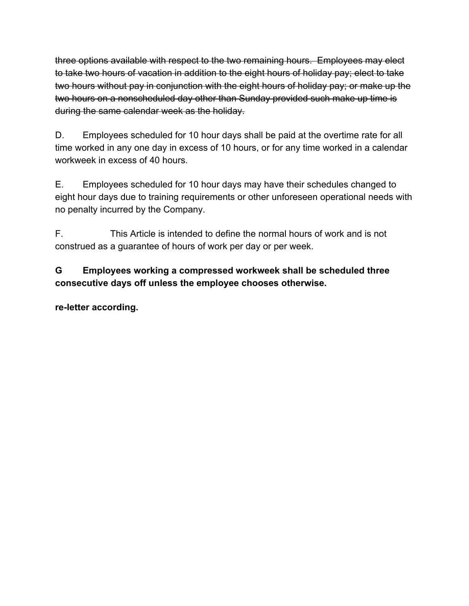three options available with respect to the two remaining hours. Employees may elect to take two hours of vacation in addition to the eight hours of holiday pay; elect to take two hours without pay in conjunction with the eight hours of holiday pay; or make up the two hours on a nonscheduled day other than Sunday provided such make up time is during the same calendar week as the holiday.

D. Employees scheduled for 10 hour days shall be paid at the overtime rate for all time worked in any one day in excess of 10 hours, or for any time worked in a calendar workweek in excess of 40 hours.

E. Employees scheduled for 10 hour days may have their schedules changed to eight hour days due to training requirements or other unforeseen operational needs with no penalty incurred by the Company.

F. This Article is intended to define the normal hours of work and is not construed as a guarantee of hours of work per day or per week.

**G Employees working a compressed workweek shall be scheduled three consecutive days off unless the employee chooses otherwise.**

**re-letter according.**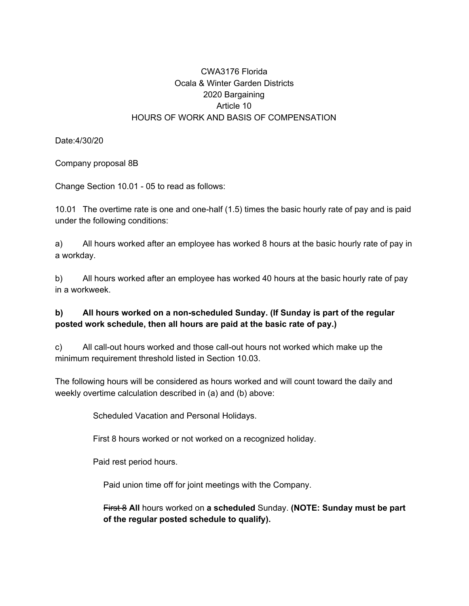# CWA3176 Florida Ocala & Winter Garden Districts 2020 Bargaining Article 10 HOURS OF WORK AND BASIS OF COMPENSATION

Date:4/30/20

Company proposal 8B

Change Section 10.01 - 05 to read as follows:

10.01 The overtime rate is one and one-half (1.5) times the basic hourly rate of pay and is paid under the following conditions:

a) All hours worked after an employee has worked 8 hours at the basic hourly rate of pay in a workday.

b) All hours worked after an employee has worked 40 hours at the basic hourly rate of pay in a workweek.

### **b) All hours worked on a non-scheduled Sunday. (If Sunday is part of the regular posted work schedule, then all hours are paid at the basic rate of pay.)**

c) All call-out hours worked and those call-out hours not worked which make up the minimum requirement threshold listed in Section 10.03.

The following hours will be considered as hours worked and will count toward the daily and weekly overtime calculation described in (a) and (b) above:

Scheduled Vacation and Personal Holidays.

First 8 hours worked or not worked on a recognized holiday.

Paid rest period hours.

Paid union time off for joint meetings with the Company.

First 8 **All** hours worked on **a scheduled** Sunday. **(NOTE: Sunday must be part of the regular posted schedule to qualify).**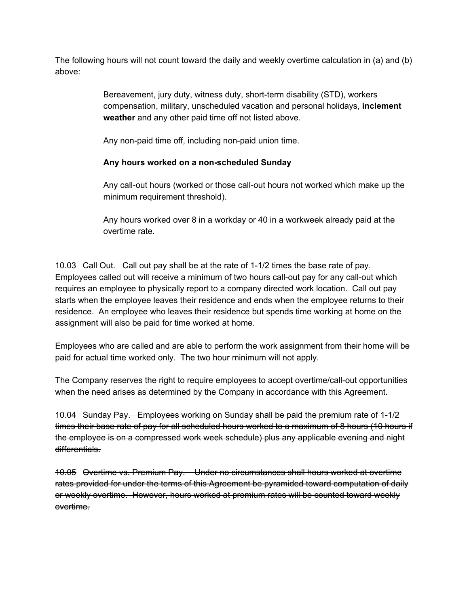The following hours will not count toward the daily and weekly overtime calculation in (a) and (b) above:

> Bereavement, jury duty, witness duty, short-term disability (STD), workers compensation, military, unscheduled vacation and personal holidays, **inclement weather** and any other paid time off not listed above.

Any non-paid time off, including non-paid union time.

### **Any hours worked on a non-scheduled Sunday**

Any call-out hours (worked or those call-out hours not worked which make up the minimum requirement threshold).

Any hours worked over 8 in a workday or 40 in a workweek already paid at the overtime rate.

10.03 Call Out. Call out pay shall be at the rate of 1-1/2 times the base rate of pay. Employees called out will receive a minimum of two hours call-out pay for any call-out which requires an employee to physically report to a company directed work location. Call out pay starts when the employee leaves their residence and ends when the employee returns to their residence. An employee who leaves their residence but spends time working at home on the assignment will also be paid for time worked at home.

Employees who are called and are able to perform the work assignment from their home will be paid for actual time worked only. The two hour minimum will not apply.

The Company reserves the right to require employees to accept overtime/call-out opportunities when the need arises as determined by the Company in accordance with this Agreement.

10.04 Sunday Pay. Employees working on Sunday shall be paid the premium rate of 1-1/2 times their base rate of pay for all scheduled hours worked to a maximum of 8 hours (10 hours if the employee is on a compressed work week schedule) plus any applicable evening and night differentials.

10.05 Overtime vs. Premium Pay. Under no circumstances shall hours worked at overtime rates provided for under the terms of this Agreement be pyramided toward computation of daily or weekly overtime. However, hours worked at premium rates will be counted toward weekly overtime.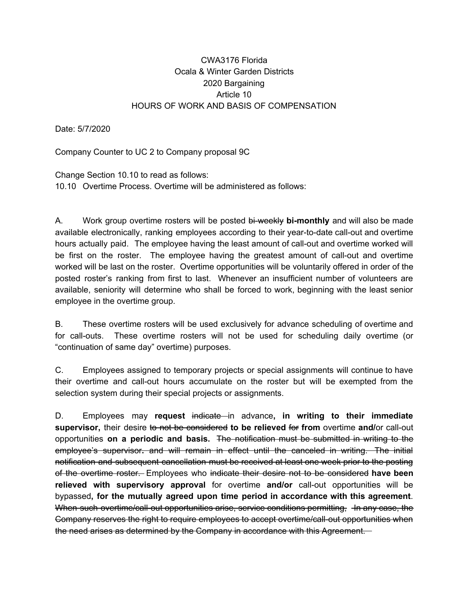### CWA3176 Florida Ocala & Winter Garden Districts 2020 Bargaining Article 10 HOURS OF WORK AND BASIS OF COMPENSATION

Date: 5/7/2020

Company Counter to UC 2 to Company proposal 9C

Change Section 10.10 to read as follows: 10.10 Overtime Process. Overtime will be administered as follows:

A. Work group overtime rosters will be posted bi-weekly **bi-monthly** and will also be made available electronically, ranking employees according to their year-to-date call-out and overtime hours actually paid. The employee having the least amount of call-out and overtime worked will be first on the roster. The employee having the greatest amount of call-out and overtime worked will be last on the roster. Overtime opportunities will be voluntarily offered in order of the posted roster's ranking from first to last. Whenever an insufficient number of volunteers are available, seniority will determine who shall be forced to work, beginning with the least senior employee in the overtime group.

B. These overtime rosters will be used exclusively for advance scheduling of overtime and for call-outs. These overtime rosters will not be used for scheduling daily overtime (or "continuation of same day" overtime) purposes.

C. Employees assigned to temporary projects or special assignments will continue to have their overtime and call-out hours accumulate on the roster but will be exempted from the selection system during their special projects or assignments.

D. Employees may **request** indicate in advance**, in writing to their immediate supervisor,** their desire to not be considered **to be relieved** for **from** overtime **and/**or call-out opportunities **on a periodic and basis.** The notification must be submitted in writing to the employee's supervisor**.** and will remain in effect until the canceled in writing. The initial notification and subsequent cancellation must be received at least one week prior to the posting of the overtime roster. Employees who indicate their desire not to be considered **have been relieved with supervisory approval** for overtime **and/or** call-out opportunities will be bypassed**, for the mutually agreed upon time period in accordance with this agreement**. When such overtime/call-out opportunities arise, service conditions permitting, In any case, the Company reserves the right to require employees to accept overtime/call-out opportunities when the need arises as determined by the Company in accordance with this Agreement.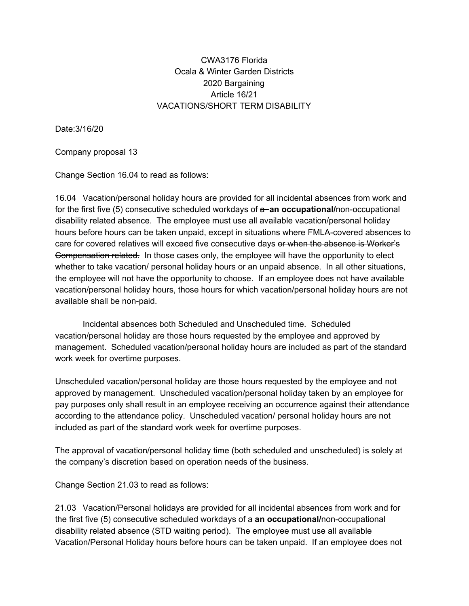### CWA3176 Florida Ocala & Winter Garden Districts 2020 Bargaining Article 16/21 VACATIONS/SHORT TERM DISABILITY

Date:3/16/20

Company proposal 13

Change Section 16.04 to read as follows:

16.04 Vacation/personal holiday hours are provided for all incidental absences from work and for the first five (5) consecutive scheduled workdays of a **an occupational/**non-occupational disability related absence. The employee must use all available vacation/personal holiday hours before hours can be taken unpaid, except in situations where FMLA-covered absences to care for covered relatives will exceed five consecutive days or when the absence is Worker's Compensation related. In those cases only, the employee will have the opportunity to elect whether to take vacation/ personal holiday hours or an unpaid absence. In all other situations, the employee will not have the opportunity to choose. If an employee does not have available vacation/personal holiday hours, those hours for which vacation/personal holiday hours are not available shall be non-paid.

Incidental absences both Scheduled and Unscheduled time. Scheduled vacation/personal holiday are those hours requested by the employee and approved by management. Scheduled vacation/personal holiday hours are included as part of the standard work week for overtime purposes.

Unscheduled vacation/personal holiday are those hours requested by the employee and not approved by management. Unscheduled vacation/personal holiday taken by an employee for pay purposes only shall result in an employee receiving an occurrence against their attendance according to the attendance policy. Unscheduled vacation/ personal holiday hours are not included as part of the standard work week for overtime purposes.

The approval of vacation/personal holiday time (both scheduled and unscheduled) is solely at the company's discretion based on operation needs of the business.

Change Section 21.03 to read as follows:

21.03 Vacation/Personal holidays are provided for all incidental absences from work and for the first five (5) consecutive scheduled workdays of a **an occupational/**non-occupational disability related absence (STD waiting period). The employee must use all available Vacation/Personal Holiday hours before hours can be taken unpaid. If an employee does not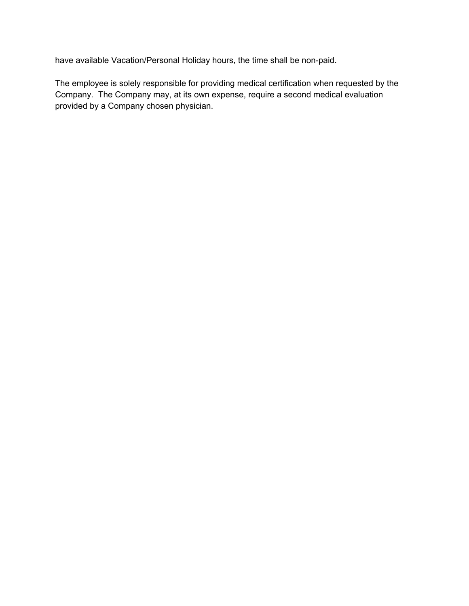have available Vacation/Personal Holiday hours, the time shall be non-paid.

The employee is solely responsible for providing medical certification when requested by the Company. The Company may, at its own expense, require a second medical evaluation provided by a Company chosen physician.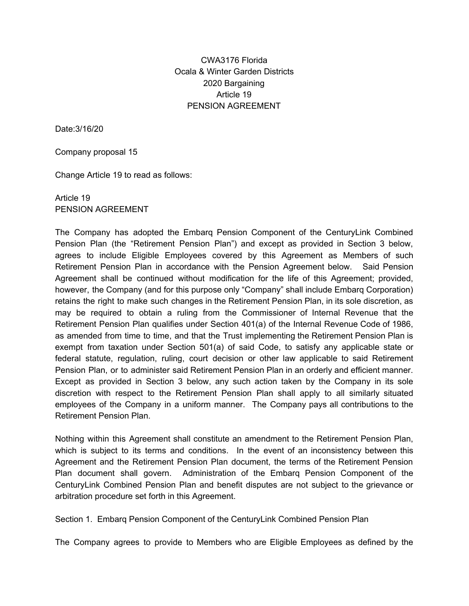### CWA3176 Florida Ocala & Winter Garden Districts 2020 Bargaining Article 19 PENSION AGREEMENT

Date:3/16/20

Company proposal 15

Change Article 19 to read as follows:

Article 19 PENSION AGREEMENT

The Company has adopted the Embarq Pension Component of the CenturyLink Combined Pension Plan (the "Retirement Pension Plan") and except as provided in Section 3 below, agrees to include Eligible Employees covered by this Agreement as Members of such Retirement Pension Plan in accordance with the Pension Agreement below. Said Pension Agreement shall be continued without modification for the life of this Agreement; provided, however, the Company (and for this purpose only "Company" shall include Embarq Corporation) retains the right to make such changes in the Retirement Pension Plan, in its sole discretion, as may be required to obtain a ruling from the Commissioner of Internal Revenue that the Retirement Pension Plan qualifies under Section 401(a) of the Internal Revenue Code of 1986, as amended from time to time, and that the Trust implementing the Retirement Pension Plan is exempt from taxation under Section 501(a) of said Code, to satisfy any applicable state or federal statute, regulation, ruling, court decision or other law applicable to said Retirement Pension Plan, or to administer said Retirement Pension Plan in an orderly and efficient manner. Except as provided in Section 3 below, any such action taken by the Company in its sole discretion with respect to the Retirement Pension Plan shall apply to all similarly situated employees of the Company in a uniform manner. The Company pays all contributions to the Retirement Pension Plan.

Nothing within this Agreement shall constitute an amendment to the Retirement Pension Plan, which is subject to its terms and conditions. In the event of an inconsistency between this Agreement and the Retirement Pension Plan document, the terms of the Retirement Pension Plan document shall govern. Administration of the Embarq Pension Component of the CenturyLink Combined Pension Plan and benefit disputes are not subject to the grievance or arbitration procedure set forth in this Agreement.

Section 1. Embarq Pension Component of the CenturyLink Combined Pension Plan

The Company agrees to provide to Members who are Eligible Employees as defined by the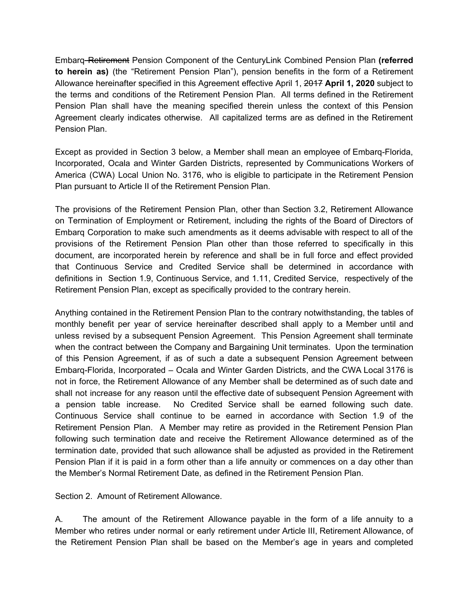Embarq Retirement Pension Component of the CenturyLink Combined Pension Plan **(referred to herein as)** (the "Retirement Pension Plan"), pension benefits in the form of a Retirement Allowance hereinafter specified in this Agreement effective April 1, 2017 **April 1, 2020** subject to the terms and conditions of the Retirement Pension Plan. All terms defined in the Retirement Pension Plan shall have the meaning specified therein unless the context of this Pension Agreement clearly indicates otherwise. All capitalized terms are as defined in the Retirement Pension Plan.

Except as provided in Section 3 below, a Member shall mean an employee of Embarq-Florida, Incorporated, Ocala and Winter Garden Districts, represented by Communications Workers of America (CWA) Local Union No. 3176, who is eligible to participate in the Retirement Pension Plan pursuant to Article II of the Retirement Pension Plan.

The provisions of the Retirement Pension Plan, other than Section 3.2, Retirement Allowance on Termination of Employment or Retirement, including the rights of the Board of Directors of Embarq Corporation to make such amendments as it deems advisable with respect to all of the provisions of the Retirement Pension Plan other than those referred to specifically in this document, are incorporated herein by reference and shall be in full force and effect provided that Continuous Service and Credited Service shall be determined in accordance with definitions in Section 1.9, Continuous Service, and 1.11, Credited Service, respectively of the Retirement Pension Plan, except as specifically provided to the contrary herein.

Anything contained in the Retirement Pension Plan to the contrary notwithstanding, the tables of monthly benefit per year of service hereinafter described shall apply to a Member until and unless revised by a subsequent Pension Agreement. This Pension Agreement shall terminate when the contract between the Company and Bargaining Unit terminates. Upon the termination of this Pension Agreement, if as of such a date a subsequent Pension Agreement between Embarq-Florida, Incorporated – Ocala and Winter Garden Districts, and the CWA Local 3176 is not in force, the Retirement Allowance of any Member shall be determined as of such date and shall not increase for any reason until the effective date of subsequent Pension Agreement with a pension table increase. No Credited Service shall be earned following such date. Continuous Service shall continue to be earned in accordance with Section 1.9 of the Retirement Pension Plan. A Member may retire as provided in the Retirement Pension Plan following such termination date and receive the Retirement Allowance determined as of the termination date, provided that such allowance shall be adjusted as provided in the Retirement Pension Plan if it is paid in a form other than a life annuity or commences on a day other than the Member's Normal Retirement Date, as defined in the Retirement Pension Plan.

Section 2. Amount of Retirement Allowance.

A. The amount of the Retirement Allowance payable in the form of a life annuity to a Member who retires under normal or early retirement under Article III, Retirement Allowance, of the Retirement Pension Plan shall be based on the Member's age in years and completed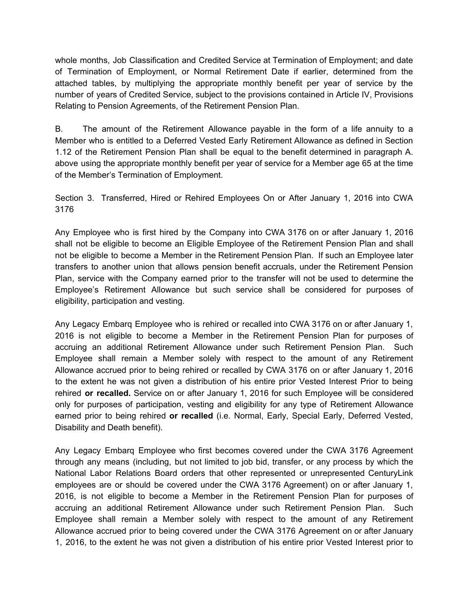whole months, Job Classification and Credited Service at Termination of Employment; and date of Termination of Employment, or Normal Retirement Date if earlier, determined from the attached tables, by multiplying the appropriate monthly benefit per year of service by the number of years of Credited Service, subject to the provisions contained in Article IV, Provisions Relating to Pension Agreements, of the Retirement Pension Plan.

B. The amount of the Retirement Allowance payable in the form of a life annuity to a Member who is entitled to a Deferred Vested Early Retirement Allowance as defined in Section 1.12 of the Retirement Pension Plan shall be equal to the benefit determined in paragraph A. above using the appropriate monthly benefit per year of service for a Member age 65 at the time of the Member's Termination of Employment.

Section 3. Transferred, Hired or Rehired Employees On or After January 1, 2016 into CWA 3176

Any Employee who is first hired by the Company into CWA 3176 on or after January 1, 2016 shall not be eligible to become an Eligible Employee of the Retirement Pension Plan and shall not be eligible to become a Member in the Retirement Pension Plan. If such an Employee later transfers to another union that allows pension benefit accruals, under the Retirement Pension Plan, service with the Company earned prior to the transfer will not be used to determine the Employee's Retirement Allowance but such service shall be considered for purposes of eligibility, participation and vesting.

Any Legacy Embarq Employee who is rehired or recalled into CWA 3176 on or after January 1, 2016 is not eligible to become a Member in the Retirement Pension Plan for purposes of accruing an additional Retirement Allowance under such Retirement Pension Plan. Such Employee shall remain a Member solely with respect to the amount of any Retirement Allowance accrued prior to being rehired or recalled by CWA 3176 on or after January 1, 2016 to the extent he was not given a distribution of his entire prior Vested Interest Prior to being rehired **or recalled.** Service on or after January 1, 2016 for such Employee will be considered only for purposes of participation, vesting and eligibility for any type of Retirement Allowance earned prior to being rehired **or recalled** (i.e. Normal, Early, Special Early, Deferred Vested, Disability and Death benefit).

Any Legacy Embarq Employee who first becomes covered under the CWA 3176 Agreement through any means (including, but not limited to job bid, transfer, or any process by which the National Labor Relations Board orders that other represented or unrepresented CenturyLink employees are or should be covered under the CWA 3176 Agreement) on or after January 1, 2016, is not eligible to become a Member in the Retirement Pension Plan for purposes of accruing an additional Retirement Allowance under such Retirement Pension Plan. Such Employee shall remain a Member solely with respect to the amount of any Retirement Allowance accrued prior to being covered under the CWA 3176 Agreement on or after January 1, 2016, to the extent he was not given a distribution of his entire prior Vested Interest prior to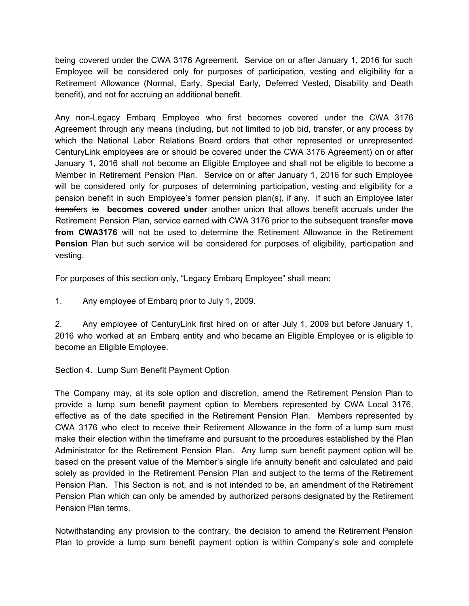being covered under the CWA 3176 Agreement. Service on or after January 1, 2016 for such Employee will be considered only for purposes of participation, vesting and eligibility for a Retirement Allowance (Normal, Early, Special Early, Deferred Vested, Disability and Death benefit), and not for accruing an additional benefit.

Any non-Legacy Embarq Employee who first becomes covered under the CWA 3176 Agreement through any means (including, but not limited to job bid, transfer, or any process by which the National Labor Relations Board orders that other represented or unrepresented CenturyLink employees are or should be covered under the CWA 3176 Agreement) on or after January 1, 2016 shall not become an Eligible Employee and shall not be eligible to become a Member in Retirement Pension Plan. Service on or after January 1, 2016 for such Employee will be considered only for purposes of determining participation, vesting and eligibility for a pension benefit in such Employee's former pension plan(s), if any. If such an Employee later transfers to **becomes covered under** another union that allows benefit accruals under the Retirement Pension Plan, service earned with CWA 3176 prior to the subsequent transfer **move from CWA3176** will not be used to determine the Retirement Allowance in the Retirement **Pension** Plan but such service will be considered for purposes of eligibility, participation and vesting.

For purposes of this section only, "Legacy Embarq Employee" shall mean:

1. Any employee of Embarq prior to July 1, 2009.

2. Any employee of CenturyLink first hired on or after July 1, 2009 but before January 1, 2016 who worked at an Embarq entity and who became an Eligible Employee or is eligible to become an Eligible Employee.

Section 4. Lump Sum Benefit Payment Option

The Company may, at its sole option and discretion, amend the Retirement Pension Plan to provide a lump sum benefit payment option to Members represented by CWA Local 3176, effective as of the date specified in the Retirement Pension Plan. Members represented by CWA 3176 who elect to receive their Retirement Allowance in the form of a lump sum must make their election within the timeframe and pursuant to the procedures established by the Plan Administrator for the Retirement Pension Plan. Any lump sum benefit payment option will be based on the present value of the Member's single life annuity benefit and calculated and paid solely as provided in the Retirement Pension Plan and subject to the terms of the Retirement Pension Plan. This Section is not, and is not intended to be, an amendment of the Retirement Pension Plan which can only be amended by authorized persons designated by the Retirement Pension Plan terms.

Notwithstanding any provision to the contrary, the decision to amend the Retirement Pension Plan to provide a lump sum benefit payment option is within Company's sole and complete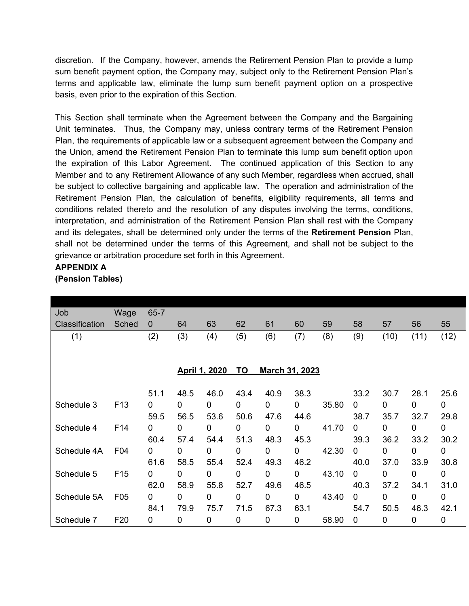discretion. If the Company, however, amends the Retirement Pension Plan to provide a lump sum benefit payment option, the Company may, subject only to the Retirement Pension Plan's terms and applicable law, eliminate the lump sum benefit payment option on a prospective basis, even prior to the expiration of this Section.

This Section shall terminate when the Agreement between the Company and the Bargaining Unit terminates. Thus, the Company may, unless contrary terms of the Retirement Pension Plan, the requirements of applicable law or a subsequent agreement between the Company and the Union, amend the Retirement Pension Plan to terminate this lump sum benefit option upon the expiration of this Labor Agreement. The continued application of this Section to any Member and to any Retirement Allowance of any such Member, regardless when accrued, shall be subject to collective bargaining and applicable law. The operation and administration of the Retirement Pension Plan, the calculation of benefits, eligibility requirements, all terms and conditions related thereto and the resolution of any disputes involving the terms, conditions, interpretation, and administration of the Retirement Pension Plan shall rest with the Company and its delegates, shall be determined only under the terms of the **Retirement Pension** Plan, shall not be determined under the terms of this Agreement, and shall not be subject to the grievance or arbitration procedure set forth in this Agreement.

**APPENDIX A**

| (Pension Tables) |  |
|------------------|--|
|------------------|--|

| Job            | Wage            | $65 - 7$ |                      |             |                                    |             |      |       |      |      |      |             |
|----------------|-----------------|----------|----------------------|-------------|------------------------------------|-------------|------|-------|------|------|------|-------------|
| Classification | Sched           | 0        | 64                   | 63          | 62                                 | 61          | 60   | 59    | 58   | 57   | 56   | 55          |
| (1)            |                 | (2)      | (3)                  | (4)         | (5)                                | (6)         | (7)  | (8)   | (9)  | (10) | (11) | (12)        |
|                |                 |          |                      |             |                                    |             |      |       |      |      |      |             |
|                |                 |          | <b>April 1, 2020</b> |             | <b>TO</b><br><b>March 31, 2023</b> |             |      |       |      |      |      |             |
|                |                 | 51.1     | 48.5                 | 46.0        | 43.4                               | 40.9        | 38.3 |       | 33.2 | 30.7 | 28.1 | 25.6        |
| Schedule 3     | F <sub>13</sub> | 0        | 0                    | $\mathbf 0$ | 0                                  | 0           | 0    | 35.80 | 0    | 0    | 0    | 0           |
|                |                 | 59.5     | 56.5                 | 53.6        | 50.6                               | 47.6        | 44.6 |       | 38.7 | 35.7 | 32.7 | 29.8        |
| Schedule 4     | F14             | 0        | 0                    | 0           | 0                                  | 0           | 0    | 41.70 | 0    | 0    | 0    | 0           |
|                |                 | 60.4     | 57.4                 | 54.4        | 51.3                               | 48.3        | 45.3 |       | 39.3 | 36.2 | 33.2 | 30.2        |
| Schedule 4A    | F04             | 0        | 0                    | $\mathbf 0$ | 0                                  | $\mathbf 0$ | 0    | 42.30 | 0    | 0    | 0    | 0           |
|                |                 | 61.6     | 58.5                 | 55.4        | 52.4                               | 49.3        | 46.2 |       | 40.0 | 37.0 | 33.9 | 30.8        |
| Schedule 5     | F <sub>15</sub> | 0        | 0                    | $\mathbf 0$ | 0                                  | $\pmb{0}$   | 0    | 43.10 | 0    | 0    | 0    | 0           |
|                |                 | 62.0     | 58.9                 | 55.8        | 52.7                               | 49.6        | 46.5 |       | 40.3 | 37.2 | 34.1 | 31.0        |
| Schedule 5A    | F05             | 0        | 0                    | $\mathbf 0$ | 0                                  | 0           | 0    | 43.40 | 0    | 0    | 0    | 0           |
|                |                 | 84.1     | 79.9                 | 75.7        | 71.5                               | 67.3        | 63.1 |       | 54.7 | 50.5 | 46.3 | 42.1        |
| Schedule 7     | F <sub>20</sub> | 0        | 0                    | 0           | 0                                  | 0           | 0    | 58.90 | 0    | 0    | 0    | $\mathbf 0$ |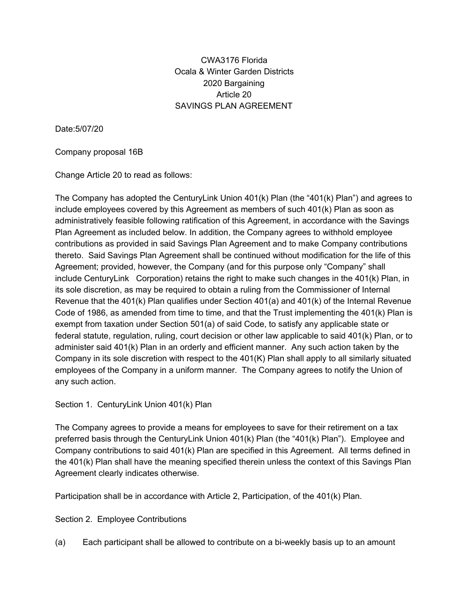### CWA3176 Florida Ocala & Winter Garden Districts 2020 Bargaining Article 20 SAVINGS PLAN AGREEMENT

Date:5/07/20

#### Company proposal 16B

Change Article 20 to read as follows:

The Company has adopted the CenturyLink Union 401(k) Plan (the "401(k) Plan") and agrees to include employees covered by this Agreement as members of such 401(k) Plan as soon as administratively feasible following ratification of this Agreement, in accordance with the Savings Plan Agreement as included below. In addition, the Company agrees to withhold employee contributions as provided in said Savings Plan Agreement and to make Company contributions thereto. Said Savings Plan Agreement shall be continued without modification for the life of this Agreement; provided, however, the Company (and for this purpose only "Company" shall include CenturyLink Corporation) retains the right to make such changes in the 401(k) Plan, in its sole discretion, as may be required to obtain a ruling from the Commissioner of Internal Revenue that the 401(k) Plan qualifies under Section 401(a) and 401(k) of the Internal Revenue Code of 1986, as amended from time to time, and that the Trust implementing the 401(k) Plan is exempt from taxation under Section 501(a) of said Code, to satisfy any applicable state or federal statute, regulation, ruling, court decision or other law applicable to said 401(k) Plan, or to administer said 401(k) Plan in an orderly and efficient manner. Any such action taken by the Company in its sole discretion with respect to the  $401(K)$  Plan shall apply to all similarly situated employees of the Company in a uniform manner. The Company agrees to notify the Union of any such action.

#### Section 1. CenturyLink Union 401(k) Plan

The Company agrees to provide a means for employees to save for their retirement on a tax preferred basis through the CenturyLink Union 401(k) Plan (the "401(k) Plan"). Employee and Company contributions to said 401(k) Plan are specified in this Agreement. All terms defined in the 401(k) Plan shall have the meaning specified therein unless the context of this Savings Plan Agreement clearly indicates otherwise.

Participation shall be in accordance with Article 2, Participation, of the 401(k) Plan.

Section 2. Employee Contributions

(a) Each participant shall be allowed to contribute on a bi-weekly basis up to an amount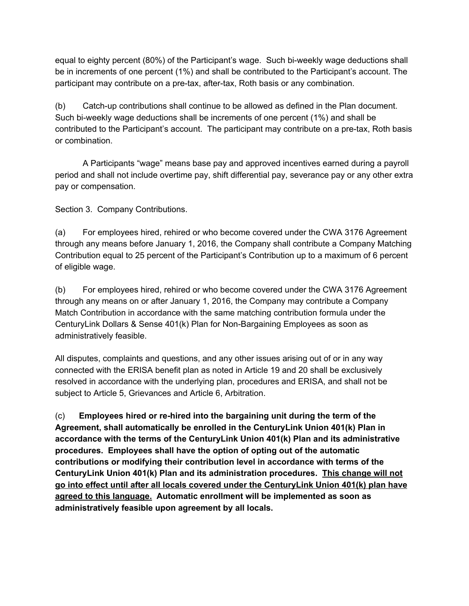equal to eighty percent (80%) of the Participant's wage. Such bi-weekly wage deductions shall be in increments of one percent (1%) and shall be contributed to the Participant's account. The participant may contribute on a pre-tax, after-tax, Roth basis or any combination.

(b) Catch-up contributions shall continue to be allowed as defined in the Plan document. Such bi-weekly wage deductions shall be increments of one percent (1%) and shall be contributed to the Participant's account. The participant may contribute on a pre-tax, Roth basis or combination.

A Participants "wage" means base pay and approved incentives earned during a payroll period and shall not include overtime pay, shift differential pay, severance pay or any other extra pay or compensation.

Section 3. Company Contributions.

(a) For employees hired, rehired or who become covered under the CWA 3176 Agreement through any means before January 1, 2016, the Company shall contribute a Company Matching Contribution equal to 25 percent of the Participant's Contribution up to a maximum of 6 percent of eligible wage.

(b) For employees hired, rehired or who become covered under the CWA 3176 Agreement through any means on or after January 1, 2016, the Company may contribute a Company Match Contribution in accordance with the same matching contribution formula under the CenturyLink Dollars & Sense 401(k) Plan for Non-Bargaining Employees as soon as administratively feasible.

All disputes, complaints and questions, and any other issues arising out of or in any way connected with the ERISA benefit plan as noted in Article 19 and 20 shall be exclusively resolved in accordance with the underlying plan, procedures and ERISA, and shall not be subject to Article 5, Grievances and Article 6, Arbitration.

(c) **Employees hired or re-hired into the bargaining unit during the term of the Agreement, shall automatically be enrolled in the CenturyLink Union 401(k) Plan in accordance with the terms of the CenturyLink Union 401(k) Plan and its administrative procedures. Employees shall have the option of opting out of the automatic contributions or modifying their contribution level in accordance with terms of the CenturyLink Union 401(k) Plan and its administration procedures. This change will not go into effect until after all locals covered under the CenturyLink Union 401(k) plan have agreed to this language. Automatic enrollment will be implemented as soon as administratively feasible upon agreement by all locals.**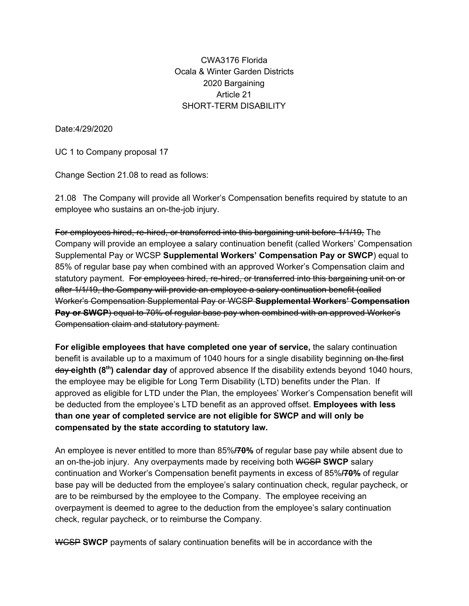### CWA3176 Florida Ocala & Winter Garden Districts 2020 Bargaining Article 21 SHORT-TERM DISABILITY

Date:4/29/2020

UC 1 to Company proposal 17

Change Section 21.08 to read as follows:

21.08 The Company will provide all Worker's Compensation benefits required by statute to an employee who sustains an on-the-job injury.

For employees hired, re-hired, or transferred into this bargaining unit before 1/1/19, The Company will provide an employee a salary continuation benefit (called Workers' Compensation Supplemental Pay or WCSP **Supplemental Workers' Compensation Pay or SWCP**) equal to 85% of regular base pay when combined with an approved Worker's Compensation claim and statutory payment. For employees hired, re-hired, or transferred into this bargaining unit on or after 1/1/19, the Company will provide an employee a salary continuation benefit (called Worker's Compensation Supplemental Pay or WCSP **Supplemental Workers' Compensation Pay or SWCP**) equal to 70% of regular base pay when combined with an approved Worker's Compensation claim and statutory payment.

**For eligible employees that have completed one year of service,** the salary continuation benefit is available up to a maximum of 1040 hours for a single disability beginning on the first day eighth (8<sup>th</sup>) calendar day of approved absence If the disability extends beyond 1040 hours, the employee may be eligible for Long Term Disability (LTD) benefits under the Plan. If approved as eligible for LTD under the Plan, the employees' Worker's Compensation benefit will be deducted from the employee's LTD benefit as an approved offset. **Employees with less than one year of completed service are not eligible for SWCP and will only be compensated by the state according to statutory law.**

An employee is never entitled to more than 85%**/70%** of regular base pay while absent due to an on-the-job injury. Any overpayments made by receiving both WCSP **SWCP** salary continuation and Worker's Compensation benefit payments in excess of 85%**/70%** of regular base pay will be deducted from the employee's salary continuation check, regular paycheck, or are to be reimbursed by the employee to the Company. The employee receiving an overpayment is deemed to agree to the deduction from the employee's salary continuation check, regular paycheck, or to reimburse the Company.

WCSP **SWCP** payments of salary continuation benefits will be in accordance with the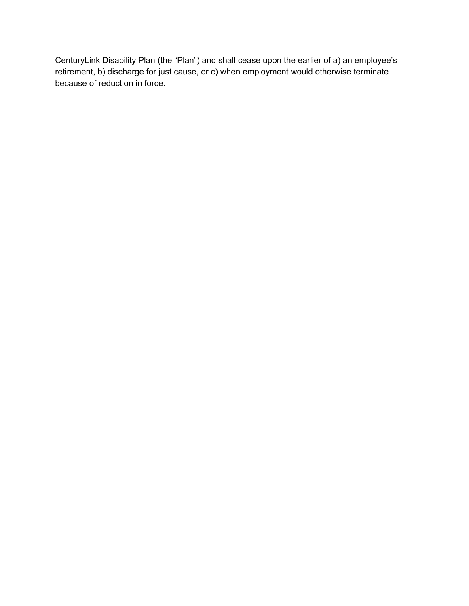CenturyLink Disability Plan (the "Plan") and shall cease upon the earlier of a) an employee's retirement, b) discharge for just cause, or c) when employment would otherwise terminate because of reduction in force.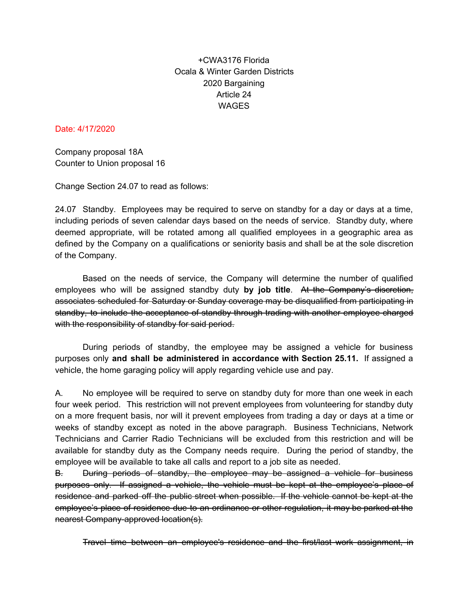# +CWA3176 Florida Ocala & Winter Garden Districts 2020 Bargaining Article 24 **WAGES**

#### Date: 4/17/2020

Company proposal 18A Counter to Union proposal 16

Change Section 24.07 to read as follows:

24.07 Standby. Employees may be required to serve on standby for a day or days at a time, including periods of seven calendar days based on the needs of service. Standby duty, where deemed appropriate, will be rotated among all qualified employees in a geographic area as defined by the Company on a qualifications or seniority basis and shall be at the sole discretion of the Company.

Based on the needs of service, the Company will determine the number of qualified employees who will be assigned standby duty **by job title**. At the Company's discretion, associates scheduled for Saturday or Sunday coverage may be disqualified from participating in standby, to include the acceptance of standby through trading with another employee charged with the responsibility of standby for said period.

During periods of standby, the employee may be assigned a vehicle for business purposes only **and shall be administered in accordance with Section 25.11.** If assigned a vehicle, the home garaging policy will apply regarding vehicle use and pay.

A. No employee will be required to serve on standby duty for more than one week in each four week period. This restriction will not prevent employees from volunteering for standby duty on a more frequent basis, nor will it prevent employees from trading a day or days at a time or weeks of standby except as noted in the above paragraph. Business Technicians, Network Technicians and Carrier Radio Technicians will be excluded from this restriction and will be available for standby duty as the Company needs require. During the period of standby, the employee will be available to take all calls and report to a job site as needed.

B. During periods of standby, the employee may be assigned a vehicle for business purposes only. If assigned a vehicle, the vehicle must be kept at the employee's place of residence and parked off the public street when possible. If the vehicle cannot be kept at the employee's place of residence due to an ordinance or other regulation, it may be parked at the nearest Company-approved location(s).

Travel time between an employee's residence and the first/last work assignment, in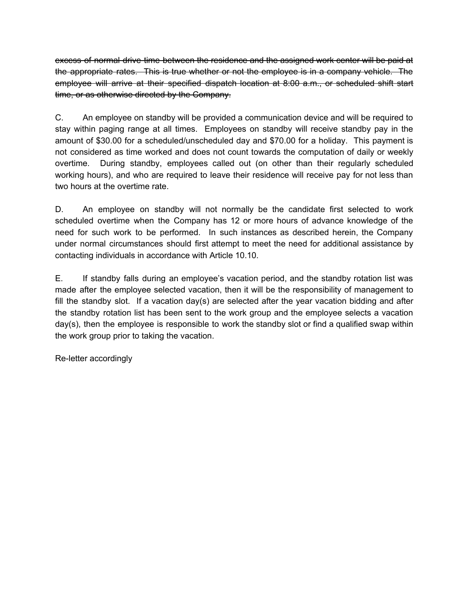excess of normal drive time between the residence and the assigned work center will be paid at the appropriate rates. This is true whether or not the employee is in a company vehicle. The employee will arrive at their specified dispatch location at 8:00 a.m., or scheduled shift start time, or as otherwise directed by the Company.

C. An employee on standby will be provided a communication device and will be required to stay within paging range at all times. Employees on standby will receive standby pay in the amount of \$30.00 for a scheduled/unscheduled day and \$70.00 for a holiday. This payment is not considered as time worked and does not count towards the computation of daily or weekly overtime. During standby, employees called out (on other than their regularly scheduled working hours), and who are required to leave their residence will receive pay for not less than two hours at the overtime rate.

D. An employee on standby will not normally be the candidate first selected to work scheduled overtime when the Company has 12 or more hours of advance knowledge of the need for such work to be performed. In such instances as described herein, the Company under normal circumstances should first attempt to meet the need for additional assistance by contacting individuals in accordance with Article 10.10.

E. If standby falls during an employee's vacation period, and the standby rotation list was made after the employee selected vacation, then it will be the responsibility of management to fill the standby slot. If a vacation day(s) are selected after the year vacation bidding and after the standby rotation list has been sent to the work group and the employee selects a vacation day(s), then the employee is responsible to work the standby slot or find a qualified swap within the work group prior to taking the vacation.

Re-letter accordingly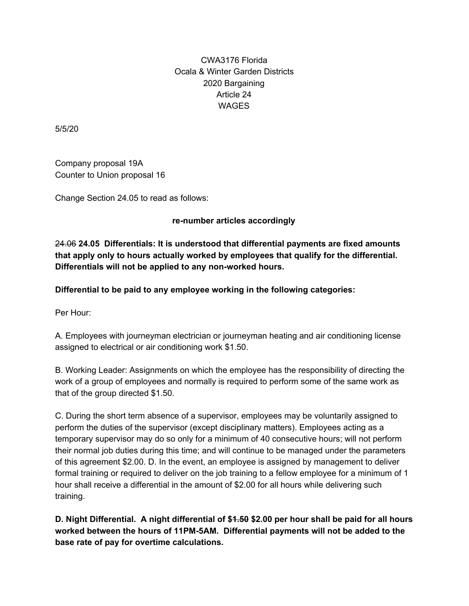# CWA3176 Florida Ocala & Winter Garden Districts 2020 Bargaining Article 24 **WAGES**

5/5/20

Company proposal 19A Counter to Union proposal 16

Change Section 24.05 to read as follows:

#### **re-number articles accordingly**

24.06 **24.05 Differentials: It is understood that differential payments are fixed amounts that apply only to hours actually worked by employees that qualify for the differential. Differentials will not be applied to any non-worked hours.**

**Differential to be paid to any employee working in the following categories:**

Per Hour:

A. Employees with journeyman electrician or journeyman heating and air conditioning license assigned to electrical or air conditioning work \$1.50.

B. Working Leader: Assignments on which the employee has the responsibility of directing the work of a group of employees and normally is required to perform some of the same work as that of the group directed \$1.50.

C. During the short term absence of a supervisor, employees may be voluntarily assigned to perform the duties of the supervisor (except disciplinary matters). Employees acting as a temporary supervisor may do so only for a minimum of 40 consecutive hours; will not perform their normal job duties during this time; and will continue to be managed under the parameters of this agreement \$2.00. D. In the event, an employee is assigned by management to deliver formal training or required to deliver on the job training to a fellow employee for a minimum of 1 hour shall receive a differential in the amount of \$2.00 for all hours while delivering such training.

**D. Night Differential. A night differential of \$1.50 \$2.00 per hour shall be paid for all hours worked between the hours of 11PM-5AM. Differential payments will not be added to the base rate of pay for overtime calculations.**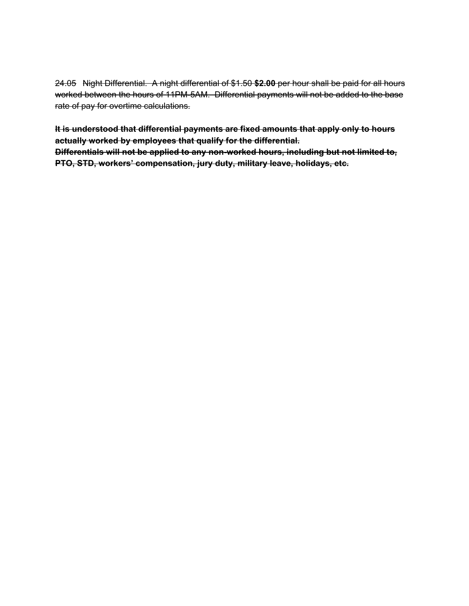24.05 Night Differential. A night differential of \$1.50 **\$2.00** per hour shall be paid for all hours worked between the hours of 11PM-5AM. Differential payments will not be added to the base rate of pay for overtime calculations.

**It is understood that differential payments are fixed amounts that apply only to hours actually worked by employees that qualify for the differential. Differentials will not be applied to any non-worked hours, including but not limited to, PTO, STD, workers' compensation, jury duty, military leave, holidays, etc.**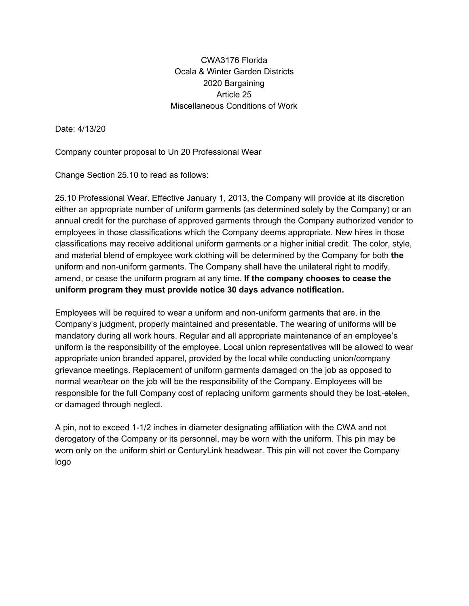CWA3176 Florida Ocala & Winter Garden Districts 2020 Bargaining Article 25 Miscellaneous Conditions of Work

Date: 4/13/20

Company counter proposal to Un 20 Professional Wear

Change Section 25.10 to read as follows:

25.10 Professional Wear. Effective January 1, 2013, the Company will provide at its discretion either an appropriate number of uniform garments (as determined solely by the Company) or an annual credit for the purchase of approved garments through the Company authorized vendor to employees in those classifications which the Company deems appropriate. New hires in those classifications may receive additional uniform garments or a higher initial credit. The color, style, and material blend of employee work clothing will be determined by the Company for both **the** uniform and non-uniform garments. The Company shall have the unilateral right to modify, amend, or cease the uniform program at any time. **If the company chooses to cease the uniform program they must provide notice 30 days advance notification.**

Employees will be required to wear a uniform and non-uniform garments that are, in the Company's judgment, properly maintained and presentable. The wearing of uniforms will be mandatory during all work hours. Regular and all appropriate maintenance of an employee's uniform is the responsibility of the employee. Local union representatives will be allowed to wear appropriate union branded apparel, provided by the local while conducting union/company grievance meetings. Replacement of uniform garments damaged on the job as opposed to normal wear/tear on the job will be the responsibility of the Company. Employees will be responsible for the full Company cost of replacing uniform garments should they be lost, stolen, or damaged through neglect.

A pin, not to exceed 1-1/2 inches in diameter designating affiliation with the CWA and not derogatory of the Company or its personnel, may be worn with the uniform. This pin may be worn only on the uniform shirt or CenturyLink headwear. This pin will not cover the Company logo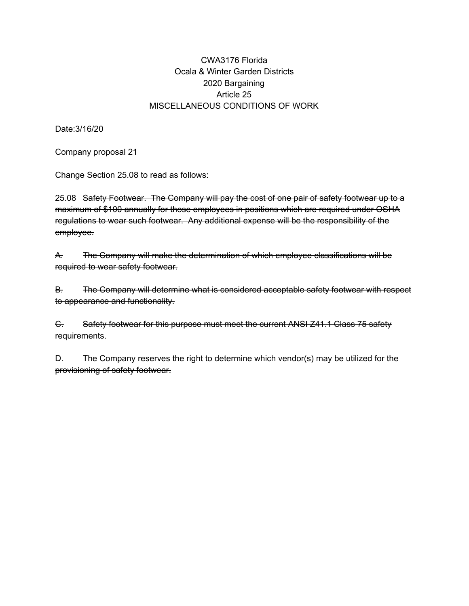### CWA3176 Florida Ocala & Winter Garden Districts 2020 Bargaining Article 25 MISCELLANEOUS CONDITIONS OF WORK

Date:3/16/20

Company proposal 21

Change Section 25.08 to read as follows:

25.08 Safety Footwear. The Company will pay the cost of one pair of safety footwear up to a maximum of \$100 annually for those employees in positions which are required under OSHA regulations to wear such footwear. Any additional expense will be the responsibility of the employee.

A. The Company will make the determination of which employee classifications will be required to wear safety footwear.

B. The Company will determine what is considered acceptable safety footwear with respect to appearance and functionality.

C. Safety footwear for this purpose must meet the current ANSI Z41.1 Class 75 safety requirements.

D. The Company reserves the right to determine which vendor(s) may be utilized for the provisioning of safety footwear.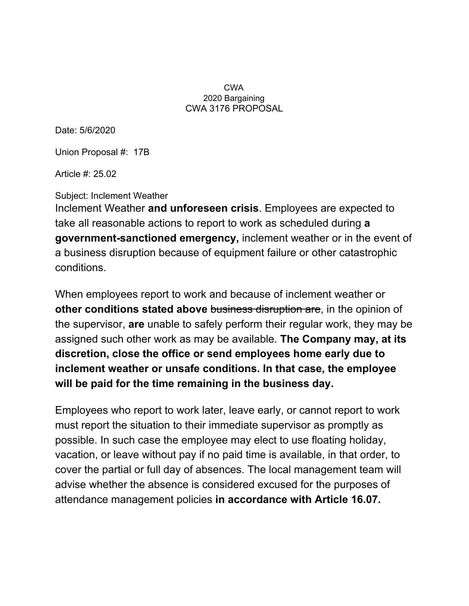#### CWA 2020 Bargaining CWA 3176 PROPOSAL

Date: 5/6/2020

Union Proposal #: 17B

Article #: 25.02

Subject: Inclement Weather

Inclement Weather **and unforeseen crisis**. Employees are expected to take all reasonable actions to report to work as scheduled during **a government-sanctioned emergency,** inclement weather or in the event of a business disruption because of equipment failure or other catastrophic conditions.

When employees report to work and because of inclement weather or **other conditions stated above** business disruption are, in the opinion of the supervisor, **are** unable to safely perform their regular work, they may be assigned such other work as may be available. **The Company may, at its discretion, close the office or send employees home early due to inclement weather or unsafe conditions. In that case, the employee will be paid for the time remaining in the business day.**

Employees who report to work later, leave early, or cannot report to work must report the situation to their immediate supervisor as promptly as possible. In such case the employee may elect to use floating holiday, vacation, or leave without pay if no paid time is available, in that order, to cover the partial or full day of absences. The local management team will advise whether the absence is considered excused for the purposes of attendance management policies **in accordance with Article 16.07.**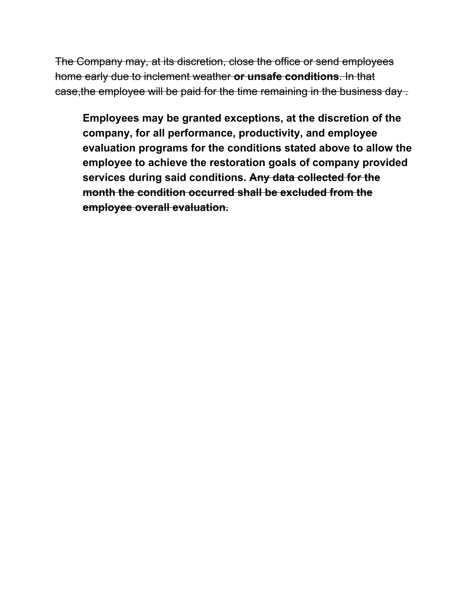The Company may, at its discretion, close the office or send employees home early due to inclement weather **or unsafe conditions**. In that case, the employee will be paid for the time remaining in the business day.

**Employees may be granted exceptions, at the discretion of the company, for all performance, productivity, and employee evaluation programs for the conditions stated above to allow the employee to achieve the restoration goals of company provided services during said conditions. Any data collected for the month the condition occurred shall be excluded from the employee overall evaluation.**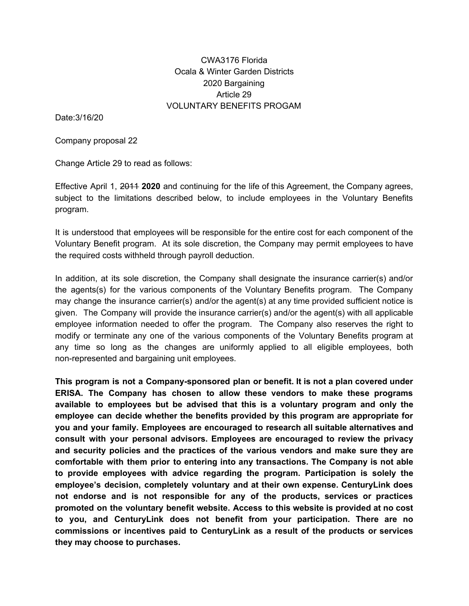### CWA3176 Florida Ocala & Winter Garden Districts 2020 Bargaining Article 29 VOLUNTARY BENEFITS PROGAM

Date:3/16/20

Company proposal 22

Change Article 29 to read as follows:

Effective April 1, 2011 **2020** and continuing for the life of this Agreement, the Company agrees, subject to the limitations described below, to include employees in the Voluntary Benefits program.

It is understood that employees will be responsible for the entire cost for each component of the Voluntary Benefit program. At its sole discretion, the Company may permit employees to have the required costs withheld through payroll deduction.

In addition, at its sole discretion, the Company shall designate the insurance carrier(s) and/or the agents(s) for the various components of the Voluntary Benefits program. The Company may change the insurance carrier(s) and/or the agent(s) at any time provided sufficient notice is given. The Company will provide the insurance carrier(s) and/or the agent(s) with all applicable employee information needed to offer the program. The Company also reserves the right to modify or terminate any one of the various components of the Voluntary Benefits program at any time so long as the changes are uniformly applied to all eligible employees, both non-represented and bargaining unit employees.

**This program is not a Company-sponsored plan or benefit. It is not a plan covered under ERISA. The Company has chosen to allow these vendors to make these programs available to employees but be advised that this is a voluntary program and only the employee can decide whether the benefits provided by this program are appropriate for you and your family. Employees are encouraged to research all suitable alternatives and consult with your personal advisors. Employees are encouraged to review the privacy and security policies and the practices of the various vendors and make sure they are comfortable with them prior to entering into any transactions. The Company is not able to provide employees with advice regarding the program. Participation is solely the employee's decision, completely voluntary and at their own expense. CenturyLink does not endorse and is not responsible for any of the products, services or practices promoted on the voluntary benefit website. Access to this website is provided at no cost to you, and CenturyLink does not benefit from your participation. There are no commissions or incentives paid to CenturyLink as a result of the products or services they may choose to purchases.**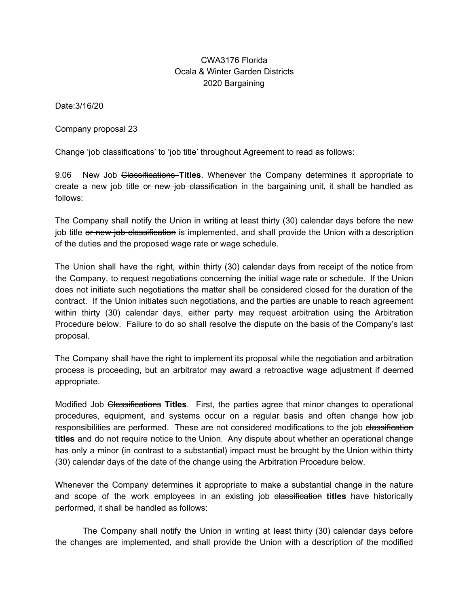### CWA3176 Florida Ocala & Winter Garden Districts 2020 Bargaining

Date:3/16/20

Company proposal 23

Change 'job classifications' to 'job title' throughout Agreement to read as follows:

9.06 New Job Classifications **Titles**. Whenever the Company determines it appropriate to create a new job title or new job classification in the bargaining unit, it shall be handled as follows:

The Company shall notify the Union in writing at least thirty (30) calendar days before the new job title or new job classification is implemented, and shall provide the Union with a description of the duties and the proposed wage rate or wage schedule.

The Union shall have the right, within thirty (30) calendar days from receipt of the notice from the Company, to request negotiations concerning the initial wage rate or schedule. If the Union does not initiate such negotiations the matter shall be considered closed for the duration of the contract. If the Union initiates such negotiations, and the parties are unable to reach agreement within thirty (30) calendar days, either party may request arbitration using the Arbitration Procedure below. Failure to do so shall resolve the dispute on the basis of the Company's last proposal.

The Company shall have the right to implement its proposal while the negotiation and arbitration process is proceeding, but an arbitrator may award a retroactive wage adjustment if deemed appropriate.

Modified Job Classifications **Titles**. First, the parties agree that minor changes to operational procedures, equipment, and systems occur on a regular basis and often change how job responsibilities are performed. These are not considered modifications to the job elassification **titles** and do not require notice to the Union. Any dispute about whether an operational change has only a minor (in contrast to a substantial) impact must be brought by the Union within thirty (30) calendar days of the date of the change using the Arbitration Procedure below.

Whenever the Company determines it appropriate to make a substantial change in the nature and scope of the work employees in an existing job classification **titles** have historically performed, it shall be handled as follows:

The Company shall notify the Union in writing at least thirty (30) calendar days before the changes are implemented, and shall provide the Union with a description of the modified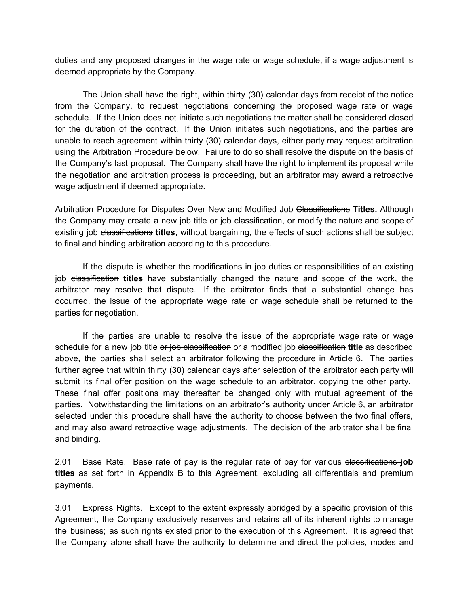duties and any proposed changes in the wage rate or wage schedule, if a wage adjustment is deemed appropriate by the Company.

The Union shall have the right, within thirty (30) calendar days from receipt of the notice from the Company, to request negotiations concerning the proposed wage rate or wage schedule. If the Union does not initiate such negotiations the matter shall be considered closed for the duration of the contract. If the Union initiates such negotiations, and the parties are unable to reach agreement within thirty (30) calendar days, either party may request arbitration using the Arbitration Procedure below. Failure to do so shall resolve the dispute on the basis of the Company's last proposal. The Company shall have the right to implement its proposal while the negotiation and arbitration process is proceeding, but an arbitrator may award a retroactive wage adjustment if deemed appropriate.

Arbitration Procedure for Disputes Over New and Modified Job Classifications **Titles.** Although the Company may create a new job title or job classification, or modify the nature and scope of existing job classifications **titles**, without bargaining, the effects of such actions shall be subject to final and binding arbitration according to this procedure.

If the dispute is whether the modifications in job duties or responsibilities of an existing job classification **titles** have substantially changed the nature and scope of the work, the arbitrator may resolve that dispute. If the arbitrator finds that a substantial change has occurred, the issue of the appropriate wage rate or wage schedule shall be returned to the parties for negotiation.

If the parties are unable to resolve the issue of the appropriate wage rate or wage schedule for a new job title or job classification or a modified job classification **title** as described above, the parties shall select an arbitrator following the procedure in Article 6. The parties further agree that within thirty (30) calendar days after selection of the arbitrator each party will submit its final offer position on the wage schedule to an arbitrator, copying the other party. These final offer positions may thereafter be changed only with mutual agreement of the parties. Notwithstanding the limitations on an arbitrator's authority under Article 6, an arbitrator selected under this procedure shall have the authority to choose between the two final offers, and may also award retroactive wage adjustments. The decision of the arbitrator shall be final and binding.

2.01 Base Rate. Base rate of pay is the regular rate of pay for various classifications **job titles** as set forth in Appendix B to this Agreement, excluding all differentials and premium payments.

3.01 Express Rights. Except to the extent expressly abridged by a specific provision of this Agreement, the Company exclusively reserves and retains all of its inherent rights to manage the business; as such rights existed prior to the execution of this Agreement. It is agreed that the Company alone shall have the authority to determine and direct the policies, modes and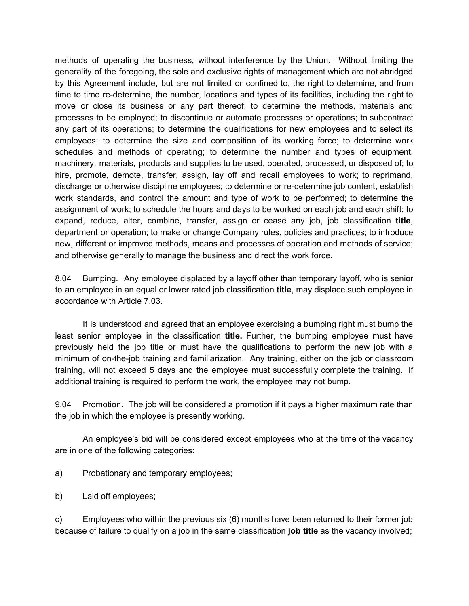methods of operating the business, without interference by the Union. Without limiting the generality of the foregoing, the sole and exclusive rights of management which are not abridged by this Agreement include, but are not limited or confined to, the right to determine, and from time to time re-determine, the number, locations and types of its facilities, including the right to move or close its business or any part thereof; to determine the methods, materials and processes to be employed; to discontinue or automate processes or operations; to subcontract any part of its operations; to determine the qualifications for new employees and to select its employees; to determine the size and composition of its working force; to determine work schedules and methods of operating; to determine the number and types of equipment, machinery, materials, products and supplies to be used, operated, processed, or disposed of; to hire, promote, demote, transfer, assign, lay off and recall employees to work; to reprimand, discharge or otherwise discipline employees; to determine or re-determine job content, establish work standards, and control the amount and type of work to be performed; to determine the assignment of work; to schedule the hours and days to be worked on each job and each shift; to expand, reduce, alter, combine, transfer, assign or cease any job, job elassification title, department or operation; to make or change Company rules, policies and practices; to introduce new, different or improved methods, means and processes of operation and methods of service; and otherwise generally to manage the business and direct the work force.

8.04 Bumping. Any employee displaced by a layoff other than temporary layoff, who is senior to an employee in an equal or lower rated job classification **title**, may displace such employee in accordance with Article 7.03.

It is understood and agreed that an employee exercising a bumping right must bump the least senior employee in the elassification title. Further, the bumping employee must have previously held the job title or must have the qualifications to perform the new job with a minimum of on-the-job training and familiarization. Any training, either on the job or classroom training, will not exceed 5 days and the employee must successfully complete the training. If additional training is required to perform the work, the employee may not bump.

9.04 Promotion. The job will be considered a promotion if it pays a higher maximum rate than the job in which the employee is presently working.

An employee's bid will be considered except employees who at the time of the vacancy are in one of the following categories:

- a) Probationary and temporary employees;
- b) Laid off employees;

c) Employees who within the previous six (6) months have been returned to their former job because of failure to qualify on a job in the same elassification job title as the vacancy involved;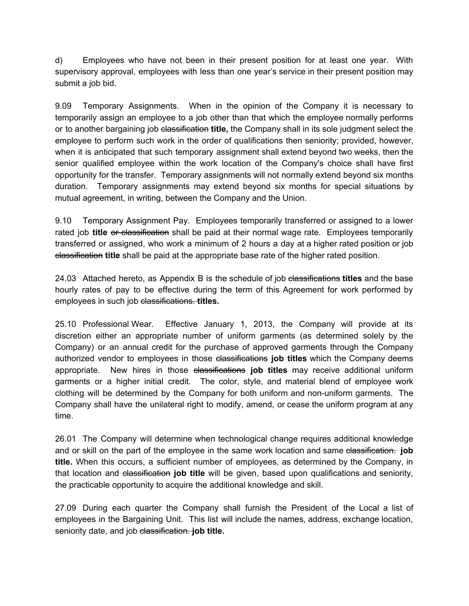d) Employees who have not been in their present position for at least one year. With supervisory approval, employees with less than one year's service in their present position may submit a job bid.

9.09 Temporary Assignments. When in the opinion of the Company it is necessary to temporarily assign an employee to a job other than that which the employee normally performs or to another bargaining job classification **title,** the Company shall in its sole judgment select the employee to perform such work in the order of qualifications then seniority; provided, however, when it is anticipated that such temporary assignment shall extend beyond two weeks, then the senior qualified employee within the work location of the Company's choice shall have first opportunity for the transfer. Temporary assignments will not normally extend beyond six months duration. Temporary assignments may extend beyond six months for special situations by mutual agreement, in writing, between the Company and the Union.

9.10 Temporary Assignment Pay. Employees temporarily transferred or assigned to a lower rated job **title** or classification shall be paid at their normal wage rate. Employees temporarily transferred or assigned, who work a minimum of 2 hours a day at a higher rated position or job classification **title** shall be paid at the appropriate base rate of the higher rated position.

24.03 Attached hereto, as Appendix B is the schedule of job classifications **titles** and the base hourly rates of pay to be effective during the term of this Agreement for work performed by employees in such job classifications. **titles.** 

25.10 Professional Wear. Effective January 1, 2013, the Company will provide at its discretion either an appropriate number of uniform garments (as determined solely by the Company) or an annual credit for the purchase of approved garments through the Company authorized vendor to employees in those elassifications **job titles** which the Company deems appropriate. New hires in those elassifications job titles may receive additional uniform garments or a higher initial credit. The color, style, and material blend of employee work clothing will be determined by the Company for both uniform and non-uniform garments. The Company shall have the unilateral right to modify, amend, or cease the uniform program at any time.

26.01 The Company will determine when technological change requires additional knowledge and or skill on the part of the employee in the same work location and same classification. **job title.** When this occurs, a sufficient number of employees, as determined by the Company, in that location and classification **job title** will be given, based upon qualifications and seniority, the practicable opportunity to acquire the additional knowledge and skill.

27.09 During each quarter the Company shall furnish the President of the Local a list of employees in the Bargaining Unit. This list will include the names, address, exchange location, seniority date, and job classification. **job title.**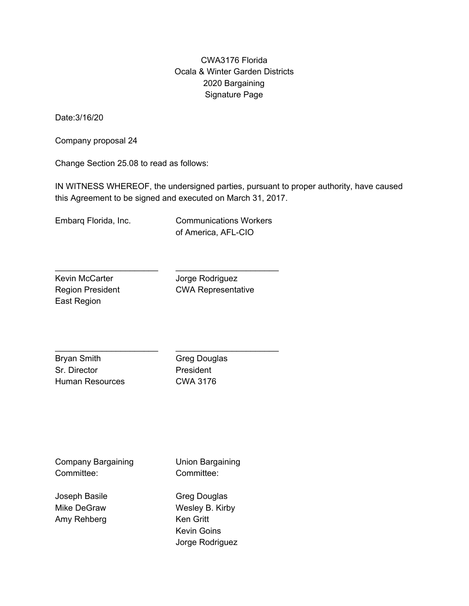### CWA3176 Florida Ocala & Winter Garden Districts 2020 Bargaining Signature Page

Date:3/16/20

Company proposal 24

Change Section 25.08 to read as follows:

IN WITNESS WHEREOF, the undersigned parties, pursuant to proper authority, have caused this Agreement to be signed and executed on March 31, 2017.

Embarq Florida, Inc.

Communications Workers of America, AFL-CIO

 $\overline{\phantom{a}}$  , which is a set of the set of the set of the set of the set of the set of the set of the set of the set of the set of the set of the set of the set of the set of the set of the set of the set of the set of th

 $\overline{\phantom{a}}$  , which is a set of the set of the set of the set of the set of the set of the set of the set of the set of the set of the set of the set of the set of the set of the set of the set of the set of the set of th

Kevin McCarter Region President East Region

 $\overline{\phantom{a}}$  , which is a set of the set of the set of the set of the set of the set of the set of the set of the set of the set of the set of the set of the set of the set of the set of the set of the set of the set of th

 $\overline{\phantom{a}}$  , which is a set of the set of the set of the set of the set of the set of the set of the set of the set of the set of the set of the set of the set of the set of the set of the set of the set of the set of th

Jorge Rodriguez CWA Representative

Bryan Smith Sr. Director Human Resources Greg Douglas President CWA 3176

Company Bargaining Committee: Joseph Basile Mike DeGraw Amy Rehberg Union Bargaining Committee: Greg Douglas Wesley B. Kirby Ken Gritt Kevin Goins Jorge Rodriguez